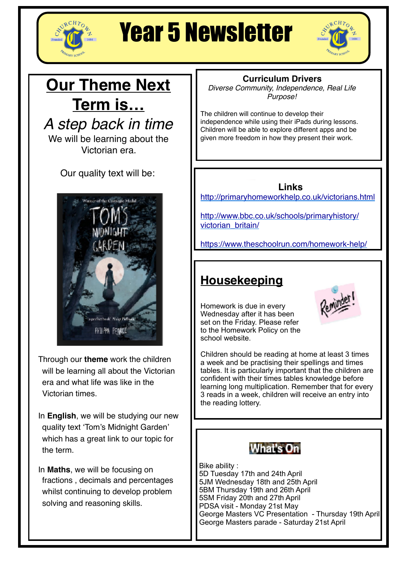

# Year 5 Newsletter



# **Our Theme Next Term is…**

*A step back in time*

We will be learning about the Victorian era.

Our quality text will be:



Through our **theme** work the children will be learning all about the Victorian era and what life was like in the Victorian times.

In **English**, we will be studying our new quality text 'Tom's Midnight Garden' which has a great link to our topic for the term.

In **Maths**, we will be focusing on fractions , decimals and percentages whilst continuing to develop problem solving and reasoning skills.

### **Curriculum Drivers**

*Diverse Community, Independence, Real Life Purpose!*

The children will continue to develop their independence while using their iPads during lessons. Children will be able to explore different apps and be given more freedom in how they present their work.

**Links**

<http://primaryhomeworkhelp.co.uk/victorians.html>

[http://www.bbc.co.uk/schools/primaryhistory/](http://www.bbc.co.uk/schools/primaryhistory/victorian_britain/) [victorian\\_britain/](http://www.bbc.co.uk/schools/primaryhistory/victorian_britain/)

[https://www.theschoolrun.com/homework-help/](https://www.theschoolrun.com/homework-help/victorian-era)

## **Housekeeping**

Homework is due in every Wednesday after it has been set on the Friday. Please refer to the Homework Policy on the school website.



Children should be reading at home at least 3 times a week and be practising their spellings and times tables. It is particularly important that the children are confident with their times tables knowledge before learning long multiplication. Remember that for every 3 reads in a week, children will receive an entry into the reading lottery.



Bike ability : 5D Tuesday 17th and 24th April 5JM Wednesday 18th and 25th April 5BM Thursday 19th and 26th April 5SM Friday 20th and 27th April PDSA visit - Monday 21st May George Masters VC Presentation - Thursday 19th April George Masters parade - Saturday 21st April